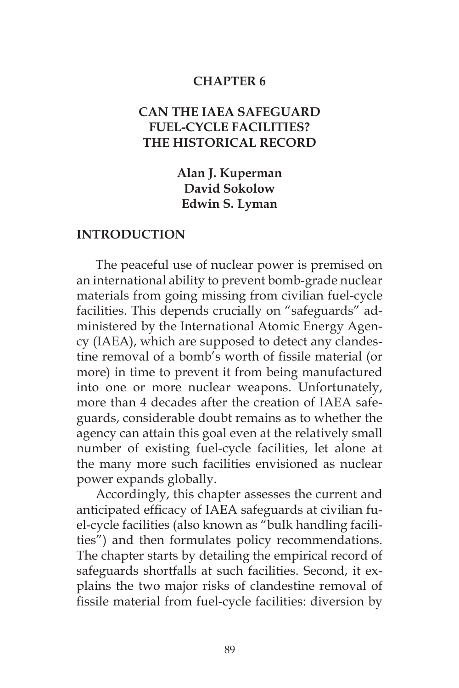#### **CHAPTER 6**

## **CAN THE IAEA SAFEGUARD FUEL-CYCLE FACILITIES? THE HISTORICAL RECORD**

**Alan J. Kuperman David Sokolow Edwin S. Lyman**

#### **INTRODUCTION**

The peaceful use of nuclear power is premised on an international ability to prevent bomb-grade nuclear materials from going missing from civilian fuel-cycle facilities. This depends crucially on "safeguards" administered by the International Atomic Energy Agency (IAEA), which are supposed to detect any clandestine removal of a bomb's worth of fissile material (or more) in time to prevent it from being manufactured into one or more nuclear weapons. Unfortunately, more than 4 decades after the creation of IAEA safeguards, considerable doubt remains as to whether the agency can attain this goal even at the relatively small number of existing fuel-cycle facilities, let alone at the many more such facilities envisioned as nuclear power expands globally.

Accordingly, this chapter assesses the current and anticipated efficacy of IAEA safeguards at civilian fuel-cycle facilities (also known as "bulk handling facilities") and then formulates policy recommendations. The chapter starts by detailing the empirical record of safeguards shortfalls at such facilities. Second, it explains the two major risks of clandestine removal of fissile material from fuel-cycle facilities: diversion by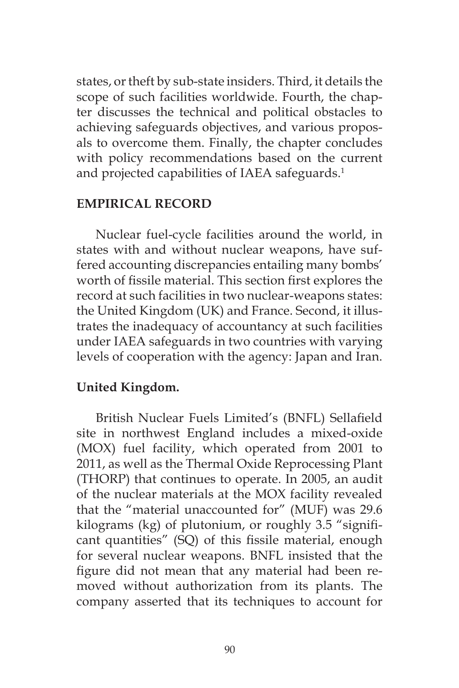states, or theft by sub-state insiders. Third, it details the scope of such facilities worldwide. Fourth, the chapter discusses the technical and political obstacles to achieving safeguards objectives, and various proposals to overcome them. Finally, the chapter concludes with policy recommendations based on the current and projected capabilities of IAEA safeguards.<sup>1</sup>

#### **EMPIRICAL RECORD**

Nuclear fuel-cycle facilities around the world, in states with and without nuclear weapons, have suffered accounting discrepancies entailing many bombs' worth of fissile material. This section first explores the record at such facilities in two nuclear-weapons states: the United Kingdom (UK) and France. Second, it illustrates the inadequacy of accountancy at such facilities under IAEA safeguards in two countries with varying levels of cooperation with the agency: Japan and Iran.

## **United Kingdom.**

British Nuclear Fuels Limited's (BNFL) Sellafield site in northwest England includes a mixed-oxide (MOX) fuel facility, which operated from 2001 to 2011, as well as the Thermal Oxide Reprocessing Plant (THORP) that continues to operate. In 2005, an audit of the nuclear materials at the MOX facility revealed that the "material unaccounted for" (MUF) was 29.6 kilograms (kg) of plutonium, or roughly 3.5 "significant quantities" (SQ) of this fissile material, enough for several nuclear weapons. BNFL insisted that the figure did not mean that any material had been removed without authorization from its plants. The company asserted that its techniques to account for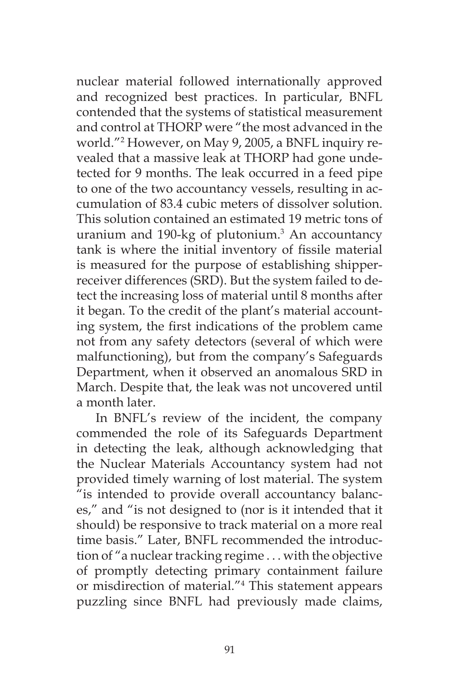nuclear material followed internationally approved and recognized best practices. In particular, BNFL contended that the systems of statistical measurement and control at THORP were "the most advanced in the world."2 However, on May 9, 2005, a BNFL inquiry revealed that a massive leak at THORP had gone undetected for 9 months. The leak occurred in a feed pipe to one of the two accountancy vessels, resulting in accumulation of 83.4 cubic meters of dissolver solution. This solution contained an estimated 19 metric tons of uranium and 190-kg of plutonium.3 An accountancy tank is where the initial inventory of fissile material is measured for the purpose of establishing shipperreceiver differences (SRD). But the system failed to detect the increasing loss of material until 8 months after it began. To the credit of the plant's material accounting system, the first indications of the problem came not from any safety detectors (several of which were malfunctioning), but from the company's Safeguards Department, when it observed an anomalous SRD in March. Despite that, the leak was not uncovered until a month later.

In BNFL's review of the incident, the company commended the role of its Safeguards Department in detecting the leak, although acknowledging that the Nuclear Materials Accountancy system had not provided timely warning of lost material. The system "is intended to provide overall accountancy balances," and "is not designed to (nor is it intended that it should) be responsive to track material on a more real time basis." Later, BNFL recommended the introduction of "a nuclear tracking regime . . . with the objective of promptly detecting primary containment failure or misdirection of material."4 This statement appears puzzling since BNFL had previously made claims,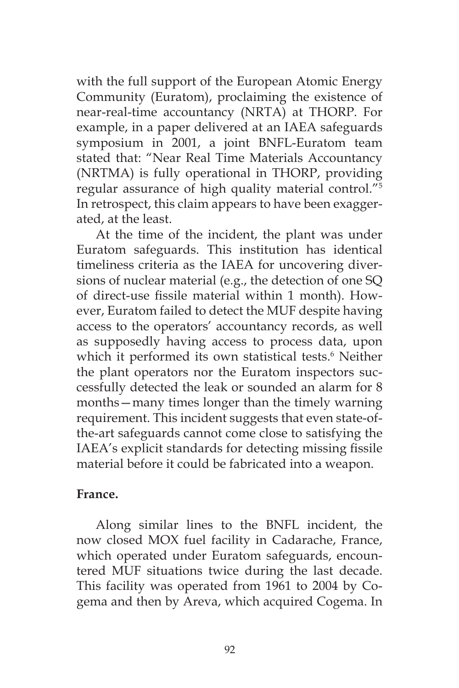with the full support of the European Atomic Energy Community (Euratom), proclaiming the existence of near-real-time accountancy (NRTA) at THORP. For example, in a paper delivered at an IAEA safeguards symposium in 2001, a joint BNFL-Euratom team stated that: "Near Real Time Materials Accountancy (NRTMA) is fully operational in THORP, providing regular assurance of high quality material control."5 In retrospect, this claim appears to have been exaggerated, at the least.

At the time of the incident, the plant was under Euratom safeguards. This institution has identical timeliness criteria as the IAEA for uncovering diversions of nuclear material (e.g., the detection of one SQ of direct-use fissile material within 1 month). However, Euratom failed to detect the MUF despite having access to the operators' accountancy records, as well as supposedly having access to process data, upon which it performed its own statistical tests.<sup>6</sup> Neither the plant operators nor the Euratom inspectors successfully detected the leak or sounded an alarm for 8 months—many times longer than the timely warning requirement. This incident suggests that even state-ofthe-art safeguards cannot come close to satisfying the IAEA's explicit standards for detecting missing fissile material before it could be fabricated into a weapon.

#### **France.**

Along similar lines to the BNFL incident, the now closed MOX fuel facility in Cadarache, France, which operated under Euratom safeguards, encountered MUF situations twice during the last decade. This facility was operated from 1961 to 2004 by Cogema and then by Areva, which acquired Cogema. In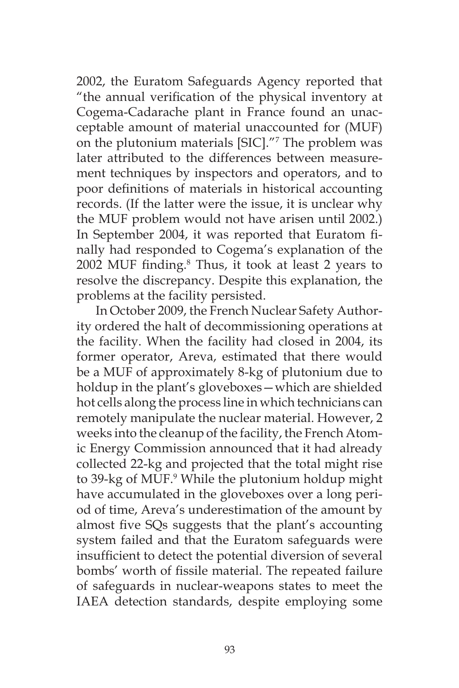2002, the Euratom Safeguards Agency reported that "the annual verification of the physical inventory at Cogema-Cadarache plant in France found an unacceptable amount of material unaccounted for (MUF) on the plutonium materials [SIC]."7 The problem was later attributed to the differences between measurement techniques by inspectors and operators, and to poor definitions of materials in historical accounting records. (If the latter were the issue, it is unclear why the MUF problem would not have arisen until 2002.) In September 2004, it was reported that Euratom finally had responded to Cogema's explanation of the 2002 MUF finding.<sup>8</sup> Thus, it took at least 2 years to resolve the discrepancy. Despite this explanation, the problems at the facility persisted.

In October 2009, the French Nuclear Safety Authority ordered the halt of decommissioning operations at the facility. When the facility had closed in 2004, its former operator, Areva, estimated that there would be a MUF of approximately 8-kg of plutonium due to holdup in the plant's gloveboxes—which are shielded hot cells along the process line in which technicians can remotely manipulate the nuclear material. However, 2 weeks into the cleanup of the facility, the French Atomic Energy Commission announced that it had already collected 22-kg and projected that the total might rise to 39-kg of MUF.<sup>9</sup> While the plutonium holdup might have accumulated in the gloveboxes over a long period of time, Areva's underestimation of the amount by almost five SQs suggests that the plant's accounting system failed and that the Euratom safeguards were insufficient to detect the potential diversion of several bombs' worth of fissile material. The repeated failure of safeguards in nuclear-weapons states to meet the IAEA detection standards, despite employing some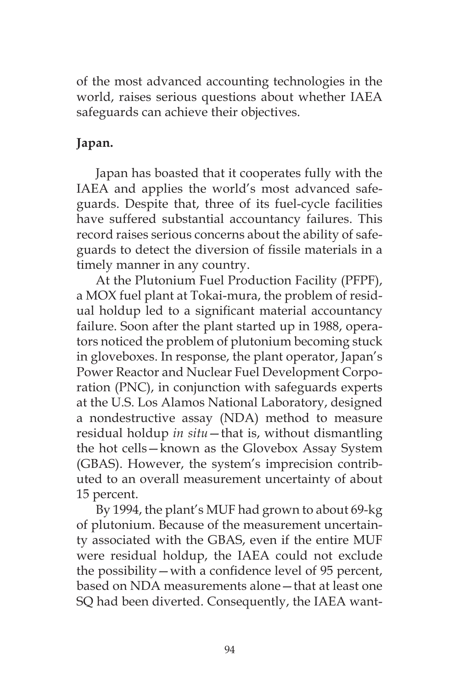of the most advanced accounting technologies in the world, raises serious questions about whether IAEA safeguards can achieve their objectives.

# **Japan.**

Japan has boasted that it cooperates fully with the IAEA and applies the world's most advanced safeguards. Despite that, three of its fuel-cycle facilities have suffered substantial accountancy failures. This record raises serious concerns about the ability of safeguards to detect the diversion of fissile materials in a timely manner in any country.

At the Plutonium Fuel Production Facility (PFPF), a MOX fuel plant at Tokai-mura, the problem of residual holdup led to a significant material accountancy failure. Soon after the plant started up in 1988, operators noticed the problem of plutonium becoming stuck in gloveboxes. In response, the plant operator, Japan's Power Reactor and Nuclear Fuel Development Corporation (PNC), in conjunction with safeguards experts at the U.S. Los Alamos National Laboratory, designed a nondestructive assay (NDA) method to measure residual holdup *in situ*—that is, without dismantling the hot cells—known as the Glovebox Assay System (GBAS). However, the system's imprecision contributed to an overall measurement uncertainty of about 15 percent.

By 1994, the plant's MUF had grown to about 69-kg of plutonium. Because of the measurement uncertainty associated with the GBAS, even if the entire MUF were residual holdup, the IAEA could not exclude the possibility—with a confidence level of 95 percent, based on NDA measurements alone—that at least one SQ had been diverted. Consequently, the IAEA want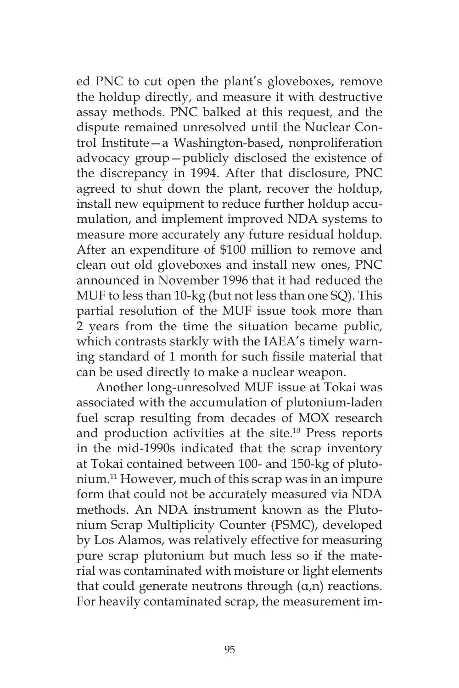ed PNC to cut open the plant's gloveboxes, remove the holdup directly, and measure it with destructive assay methods. PNC balked at this request, and the dispute remained unresolved until the Nuclear Control Institute—a Washington-based, nonproliferation advocacy group—publicly disclosed the existence of the discrepancy in 1994. After that disclosure, PNC agreed to shut down the plant, recover the holdup, install new equipment to reduce further holdup accumulation, and implement improved NDA systems to measure more accurately any future residual holdup. After an expenditure of \$100 million to remove and clean out old gloveboxes and install new ones, PNC announced in November 1996 that it had reduced the MUF to less than 10-kg (but not less than one SQ). This partial resolution of the MUF issue took more than 2 years from the time the situation became public, which contrasts starkly with the IAEA's timely warning standard of 1 month for such fissile material that can be used directly to make a nuclear weapon.

Another long-unresolved MUF issue at Tokai was associated with the accumulation of plutonium-laden fuel scrap resulting from decades of MOX research and production activities at the site.<sup>10</sup> Press reports in the mid-1990s indicated that the scrap inventory at Tokai contained between 100- and 150-kg of plutonium.11 However, much of this scrap was in an impure form that could not be accurately measured via NDA methods. An NDA instrument known as the Plutonium Scrap Multiplicity Counter (PSMC), developed by Los Alamos, was relatively effective for measuring pure scrap plutonium but much less so if the material was contaminated with moisture or light elements that could generate neutrons through  $(α, n)$  reactions. For heavily contaminated scrap, the measurement im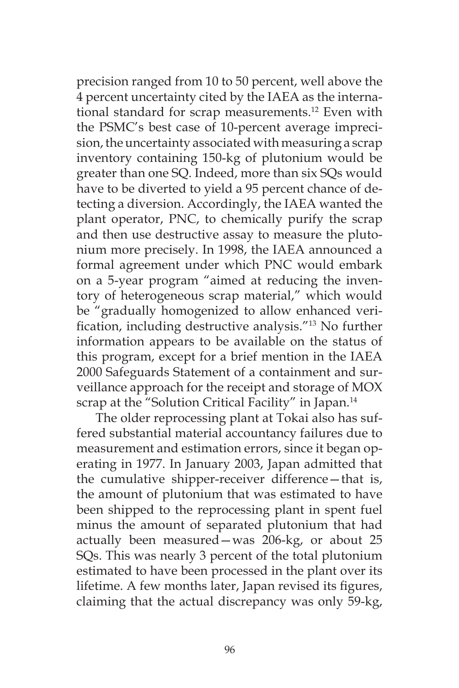precision ranged from 10 to 50 percent, well above the 4 percent uncertainty cited by the IAEA as the international standard for scrap measurements.<sup>12</sup> Even with the PSMC's best case of 10-percent average imprecision, the uncertainty associated with measuring a scrap inventory containing 150-kg of plutonium would be greater than one SQ. Indeed, more than six SQs would have to be diverted to yield a 95 percent chance of detecting a diversion. Accordingly, the IAEA wanted the plant operator, PNC, to chemically purify the scrap and then use destructive assay to measure the plutonium more precisely. In 1998, the IAEA announced a formal agreement under which PNC would embark on a 5-year program "aimed at reducing the inventory of heterogeneous scrap material," which would be "gradually homogenized to allow enhanced verification, including destructive analysis."13 No further information appears to be available on the status of this program, except for a brief mention in the IAEA 2000 Safeguards Statement of a containment and surveillance approach for the receipt and storage of MOX scrap at the "Solution Critical Facility" in Japan.<sup>14</sup>

The older reprocessing plant at Tokai also has suffered substantial material accountancy failures due to measurement and estimation errors, since it began operating in 1977. In January 2003, Japan admitted that the cumulative shipper-receiver difference—that is, the amount of plutonium that was estimated to have been shipped to the reprocessing plant in spent fuel minus the amount of separated plutonium that had actually been measured—was 206-kg, or about 25 SQs. This was nearly 3 percent of the total plutonium estimated to have been processed in the plant over its lifetime. A few months later, Japan revised its figures, claiming that the actual discrepancy was only 59-kg,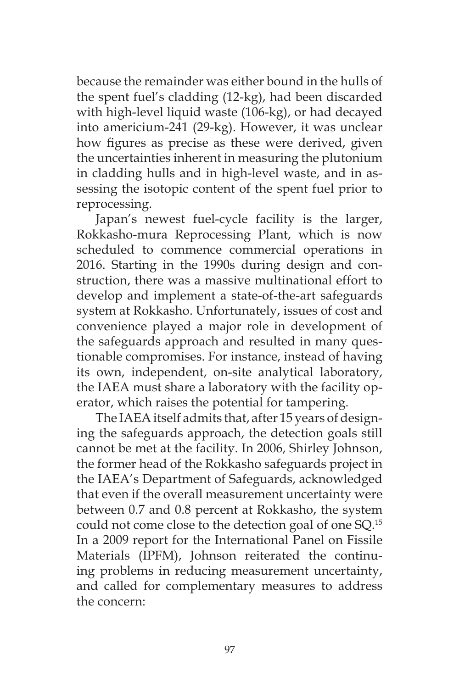because the remainder was either bound in the hulls of the spent fuel's cladding (12-kg), had been discarded with high-level liquid waste (106-kg), or had decayed into americium-241 (29-kg). However, it was unclear how figures as precise as these were derived, given the uncertainties inherent in measuring the plutonium in cladding hulls and in high-level waste, and in assessing the isotopic content of the spent fuel prior to reprocessing.

Japan's newest fuel-cycle facility is the larger, Rokkasho-mura Reprocessing Plant, which is now scheduled to commence commercial operations in 2016. Starting in the 1990s during design and construction, there was a massive multinational effort to develop and implement a state-of-the-art safeguards system at Rokkasho. Unfortunately, issues of cost and convenience played a major role in development of the safeguards approach and resulted in many questionable compromises. For instance, instead of having its own, independent, on-site analytical laboratory, the IAEA must share a laboratory with the facility operator, which raises the potential for tampering.

The IAEA itself admits that, after 15 years of designing the safeguards approach, the detection goals still cannot be met at the facility. In 2006, Shirley Johnson, the former head of the Rokkasho safeguards project in the IAEA's Department of Safeguards, acknowledged that even if the overall measurement uncertainty were between 0.7 and 0.8 percent at Rokkasho, the system could not come close to the detection goal of one SQ.15 In a 2009 report for the International Panel on Fissile Materials (IPFM), Johnson reiterated the continuing problems in reducing measurement uncertainty, and called for complementary measures to address the concern: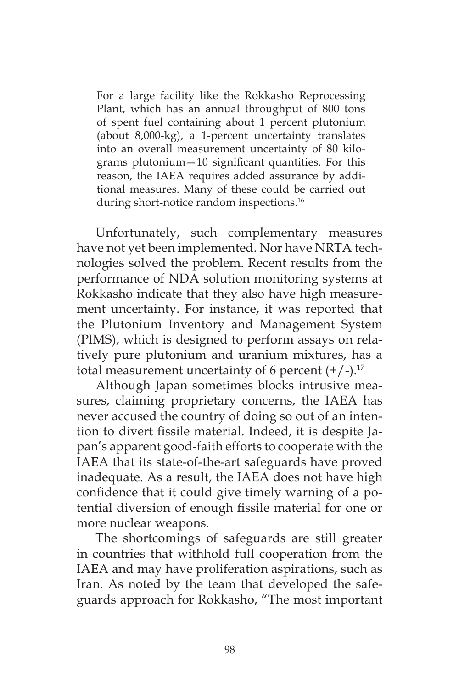For a large facility like the Rokkasho Reprocessing Plant, which has an annual throughput of 800 tons of spent fuel containing about 1 percent plutonium (about 8,000-kg), a 1-percent uncertainty translates into an overall measurement uncertainty of 80 kilograms plutonium—10 significant quantities. For this reason, the IAEA requires added assurance by additional measures. Many of these could be carried out during short-notice random inspections.<sup>16</sup>

Unfortunately, such complementary measures have not yet been implemented. Nor have NRTA technologies solved the problem. Recent results from the performance of NDA solution monitoring systems at Rokkasho indicate that they also have high measurement uncertainty. For instance, it was reported that the Plutonium Inventory and Management System (PIMS), which is designed to perform assays on relatively pure plutonium and uranium mixtures, has a total measurement uncertainty of 6 percent  $(+/-)$ .<sup>17</sup>

Although Japan sometimes blocks intrusive measures, claiming proprietary concerns, the IAEA has never accused the country of doing so out of an intention to divert fissile material. Indeed, it is despite Japan's apparent good-faith efforts to cooperate with the IAEA that its state-of-the-art safeguards have proved inadequate. As a result, the IAEA does not have high confidence that it could give timely warning of a potential diversion of enough fissile material for one or more nuclear weapons.

The shortcomings of safeguards are still greater in countries that withhold full cooperation from the IAEA and may have proliferation aspirations, such as Iran. As noted by the team that developed the safeguards approach for Rokkasho, "The most important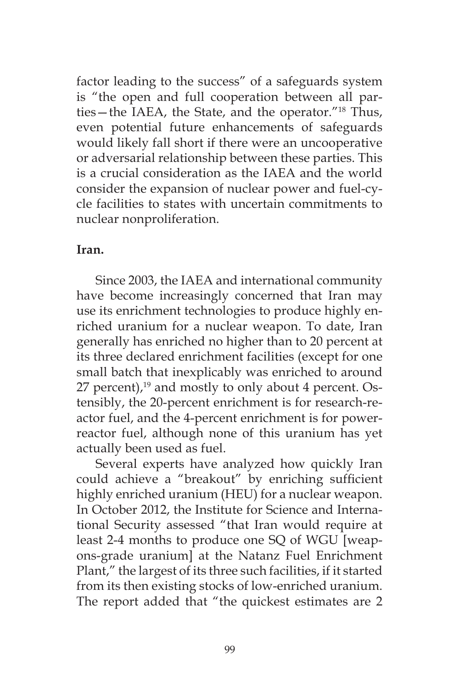factor leading to the success" of a safeguards system is "the open and full cooperation between all parties—the IAEA, the State, and the operator."18 Thus, even potential future enhancements of safeguards would likely fall short if there were an uncooperative or adversarial relationship between these parties. This is a crucial consideration as the IAEA and the world consider the expansion of nuclear power and fuel-cycle facilities to states with uncertain commitments to nuclear nonproliferation.

## **Iran.**

Since 2003, the IAEA and international community have become increasingly concerned that Iran may use its enrichment technologies to produce highly enriched uranium for a nuclear weapon. To date, Iran generally has enriched no higher than to 20 percent at its three declared enrichment facilities (except for one small batch that inexplicably was enriched to around 27 percent),<sup>19</sup> and mostly to only about 4 percent. Ostensibly, the 20-percent enrichment is for research-reactor fuel, and the 4-percent enrichment is for powerreactor fuel, although none of this uranium has yet actually been used as fuel.

Several experts have analyzed how quickly Iran could achieve a "breakout" by enriching sufficient highly enriched uranium (HEU) for a nuclear weapon. In October 2012, the Institute for Science and International Security assessed "that Iran would require at least 2-4 months to produce one SQ of WGU [weapons-grade uranium] at the Natanz Fuel Enrichment Plant," the largest of its three such facilities, if it started from its then existing stocks of low-enriched uranium. The report added that "the quickest estimates are 2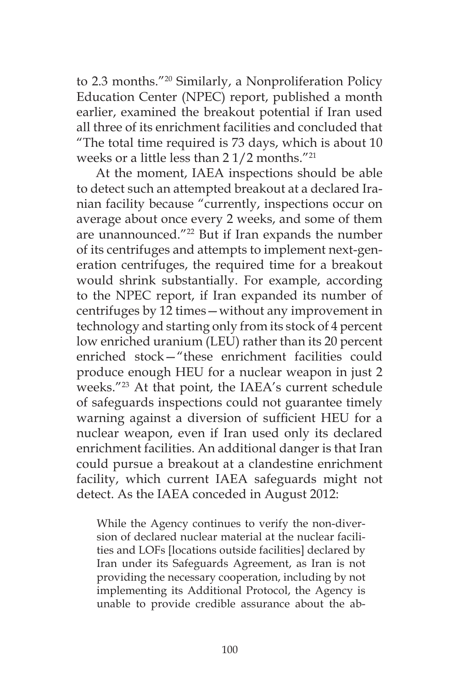to 2.3 months."20 Similarly, a Nonproliferation Policy Education Center (NPEC) report, published a month earlier, examined the breakout potential if Iran used all three of its enrichment facilities and concluded that "The total time required is 73 days, which is about 10 weeks or a little less than 2 1/2 months."21

At the moment, IAEA inspections should be able to detect such an attempted breakout at a declared Iranian facility because "currently, inspections occur on average about once every 2 weeks, and some of them are unannounced."<sup>22</sup> But if Iran expands the number of its centrifuges and attempts to implement next-generation centrifuges, the required time for a breakout would shrink substantially. For example, according to the NPEC report, if Iran expanded its number of centrifuges by 12 times—without any improvement in technology and starting only from its stock of 4 percent low enriched uranium (LEU) rather than its 20 percent enriched stock—"these enrichment facilities could produce enough HEU for a nuclear weapon in just 2 weeks."23 At that point, the IAEA's current schedule of safeguards inspections could not guarantee timely warning against a diversion of sufficient HEU for a nuclear weapon, even if Iran used only its declared enrichment facilities. An additional danger is that Iran could pursue a breakout at a clandestine enrichment facility, which current IAEA safeguards might not detect. As the IAEA conceded in August 2012:

While the Agency continues to verify the non-diversion of declared nuclear material at the nuclear facilities and LOFs [locations outside facilities] declared by Iran under its Safeguards Agreement, as Iran is not providing the necessary cooperation, including by not implementing its Additional Protocol, the Agency is unable to provide credible assurance about the ab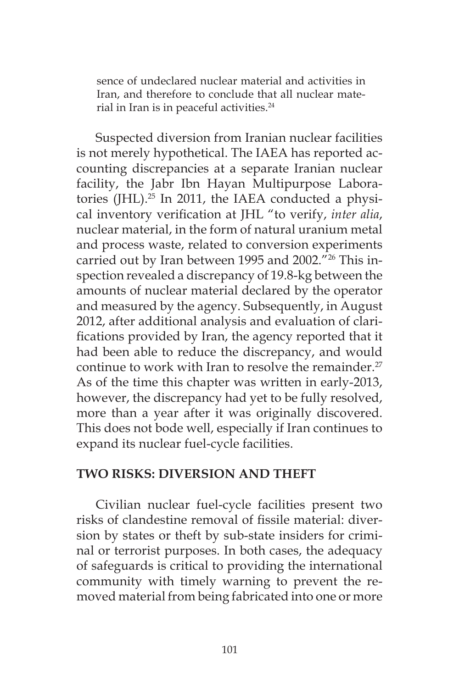sence of undeclared nuclear material and activities in Iran, and therefore to conclude that all nuclear material in Iran is in peaceful activities.<sup>24</sup>

Suspected diversion from Iranian nuclear facilities is not merely hypothetical. The IAEA has reported accounting discrepancies at a separate Iranian nuclear facility, the Jabr Ibn Hayan Multipurpose Laboratories (JHL). $^{25}$  In 2011, the IAEA conducted a physical inventory verification at JHL "to verify, *inter alia*, nuclear material, in the form of natural uranium metal and process waste, related to conversion experiments carried out by Iran between 1995 and 2002."<sup>26</sup> This inspection revealed a discrepancy of 19.8-kg between the amounts of nuclear material declared by the operator and measured by the agency. Subsequently, in August 2012, after additional analysis and evaluation of clarifications provided by Iran, the agency reported that it had been able to reduce the discrepancy, and would continue to work with Iran to resolve the remainder.<sup>27</sup> As of the time this chapter was written in early-2013, however, the discrepancy had yet to be fully resolved, more than a year after it was originally discovered. This does not bode well, especially if Iran continues to expand its nuclear fuel-cycle facilities.

## **TWO RISKS: DIVERSION AND THEFT**

Civilian nuclear fuel-cycle facilities present two risks of clandestine removal of fissile material: diversion by states or theft by sub-state insiders for criminal or terrorist purposes. In both cases, the adequacy of safeguards is critical to providing the international community with timely warning to prevent the removed material from being fabricated into one or more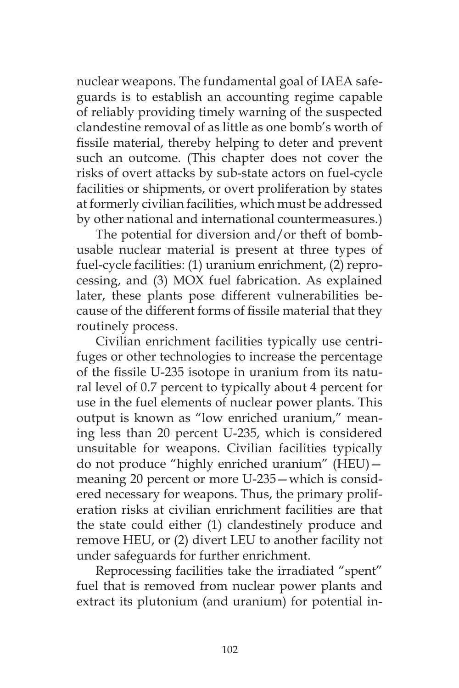nuclear weapons. The fundamental goal of IAEA safeguards is to establish an accounting regime capable of reliably providing timely warning of the suspected clandestine removal of as little as one bomb's worth of fissile material, thereby helping to deter and prevent such an outcome. (This chapter does not cover the risks of overt attacks by sub-state actors on fuel-cycle facilities or shipments, or overt proliferation by states at formerly civilian facilities, which must be addressed by other national and international countermeasures.)

The potential for diversion and/or theft of bombusable nuclear material is present at three types of fuel-cycle facilities: (1) uranium enrichment, (2) reprocessing, and (3) MOX fuel fabrication. As explained later, these plants pose different vulnerabilities because of the different forms of fissile material that they routinely process.

Civilian enrichment facilities typically use centrifuges or other technologies to increase the percentage of the fissile U-235 isotope in uranium from its natural level of 0.7 percent to typically about 4 percent for use in the fuel elements of nuclear power plants. This output is known as "low enriched uranium," meaning less than 20 percent U-235, which is considered unsuitable for weapons. Civilian facilities typically do not produce "highly enriched uranium" (HEU) meaning 20 percent or more U-235—which is considered necessary for weapons. Thus, the primary proliferation risks at civilian enrichment facilities are that the state could either (1) clandestinely produce and remove HEU, or (2) divert LEU to another facility not under safeguards for further enrichment.

Reprocessing facilities take the irradiated "spent" fuel that is removed from nuclear power plants and extract its plutonium (and uranium) for potential in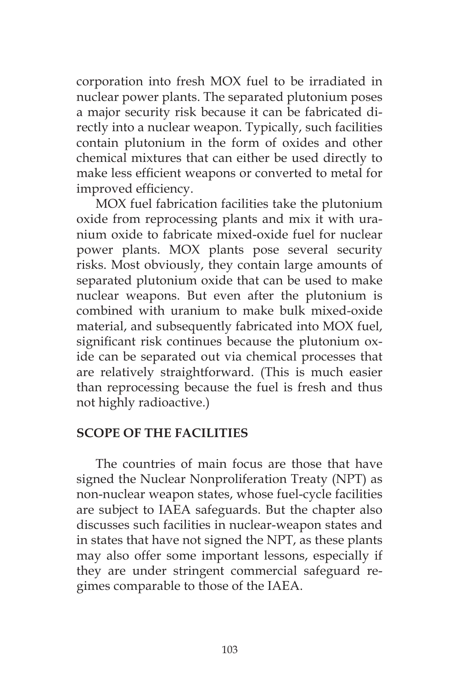corporation into fresh MOX fuel to be irradiated in nuclear power plants. The separated plutonium poses a major security risk because it can be fabricated directly into a nuclear weapon. Typically, such facilities contain plutonium in the form of oxides and other chemical mixtures that can either be used directly to make less efficient weapons or converted to metal for improved efficiency.

MOX fuel fabrication facilities take the plutonium oxide from reprocessing plants and mix it with uranium oxide to fabricate mixed-oxide fuel for nuclear power plants. MOX plants pose several security risks. Most obviously, they contain large amounts of separated plutonium oxide that can be used to make nuclear weapons. But even after the plutonium is combined with uranium to make bulk mixed-oxide material, and subsequently fabricated into MOX fuel, significant risk continues because the plutonium oxide can be separated out via chemical processes that are relatively straightforward. (This is much easier than reprocessing because the fuel is fresh and thus not highly radioactive.)

#### **SCOPE OF THE FACILITIES**

The countries of main focus are those that have signed the Nuclear Nonproliferation Treaty (NPT) as non-nuclear weapon states, whose fuel-cycle facilities are subject to IAEA safeguards. But the chapter also discusses such facilities in nuclear-weapon states and in states that have not signed the NPT, as these plants may also offer some important lessons, especially if they are under stringent commercial safeguard regimes comparable to those of the IAEA.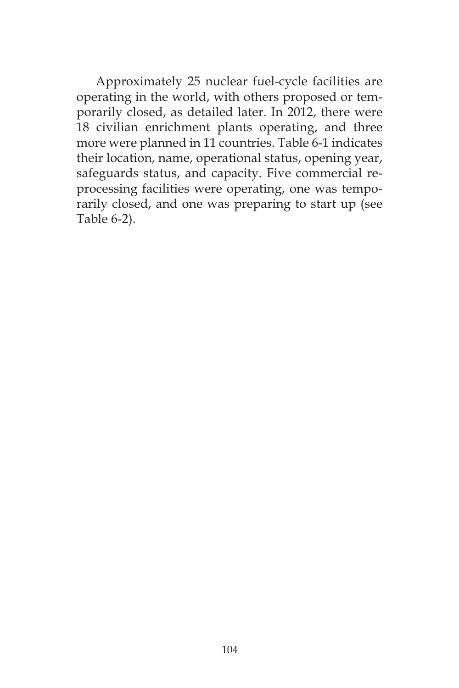Approximately 25 nuclear fuel-cycle facilities are operating in the world, with others proposed or temporarily closed, as detailed later. In 2012, there were 18 civilian enrichment plants operating, and three more were planned in 11 countries. Table 6-1 indicates their location, name, operational status, opening year, safeguards status, and capacity. Five commercial reprocessing facilities were operating, one was temporarily closed, and one was preparing to start up (see Table 6-2).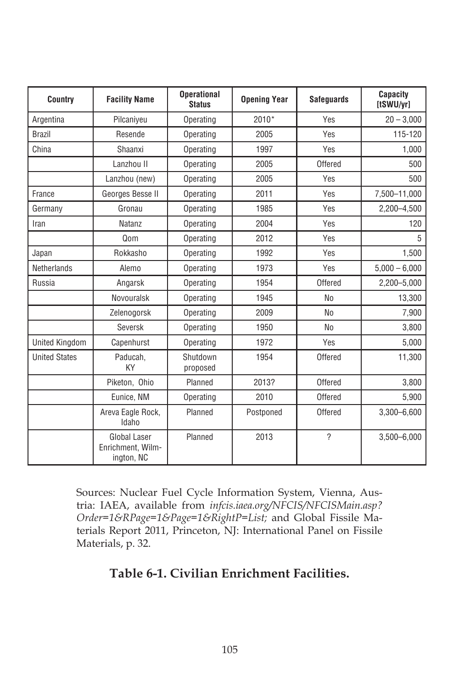| Country               | <b>Facility Name</b>                            | <b>Operational</b><br><b>Status</b> | <b>Opening Year</b> | <b>Safeguards</b>        | Capacity<br>[tSWU/yr] |
|-----------------------|-------------------------------------------------|-------------------------------------|---------------------|--------------------------|-----------------------|
| Argentina             | Pilcaniveu                                      | Operating                           | 2010*               | Yes                      | $20 - 3,000$          |
| <b>Brazil</b>         | Resende                                         | Operating                           | 2005                | Yes                      | 115-120               |
| China                 | Shaanxi                                         | Operating                           | 1997                | Yes                      | 1,000                 |
|                       | Lanzhou II                                      | Operating                           | 2005                | Offered                  | 500                   |
|                       | Lanzhou (new)                                   | Operating                           | 2005                | Yes                      | 500                   |
| France                | Georges Besse II                                | Operating                           | 2011                | Yes                      | 7,500-11,000          |
| Germany               | Gronau                                          | Operating                           | 1985                | Yes                      | 2,200-4,500           |
| Iran                  | Natanz                                          | Operating                           | 2004                | Yes                      | 120                   |
|                       | Qom                                             | Operating                           | 2012                | Yes                      | 5                     |
| Japan                 | Rokkasho                                        | Operating                           | 1992                | Yes                      | 1,500                 |
| <b>Netherlands</b>    | Alemo                                           | Operating                           | 1973                | Yes                      | $5,000 - 6,000$       |
| Russia                | Angarsk                                         | Operating                           | 1954                | Offered                  | 2,200-5,000           |
|                       | Novouralsk                                      | Operating                           | 1945                | N <sub>0</sub>           | 13,300                |
|                       | Zelenogorsk                                     | Operating                           | 2009                | N <sub>0</sub>           | 7,900                 |
|                       | Seversk                                         | Operating                           | 1950                | N <sub>0</sub>           | 3,800                 |
| <b>United Kingdom</b> | Capenhurst                                      | Operating                           | 1972                | Yes                      | 5,000                 |
| <b>United States</b>  | Paducah.<br>KY                                  | Shutdown<br>proposed                | 1954                | Offered                  | 11,300                |
|                       | Piketon, Ohio                                   | Planned                             | 2013?               | Offered                  | 3,800                 |
|                       | Eunice, NM                                      | Operating                           | 2010                | Offered                  | 5,900                 |
|                       | Areva Eagle Rock,<br>Idaho                      | Planned                             | Postponed           | Offered                  | $3,300 - 6,600$       |
|                       | Global Laser<br>Enrichment, Wilm-<br>ington, NC | Planned                             | 2013                | $\overline{\phantom{a}}$ | $3,500 - 6,000$       |

Sources: Nuclear Fuel Cycle Information System, Vienna, Austria: IAEA, available from *infcis.iaea.org/NFCIS/NFCISMain.asp? Order=1&RPage=1&Page=1&RightP=List;* and Global Fissile Materials Report 2011, Princeton, NJ: International Panel on Fissile Materials, p. 32.

# **Table 6-1. Civilian Enrichment Facilities.**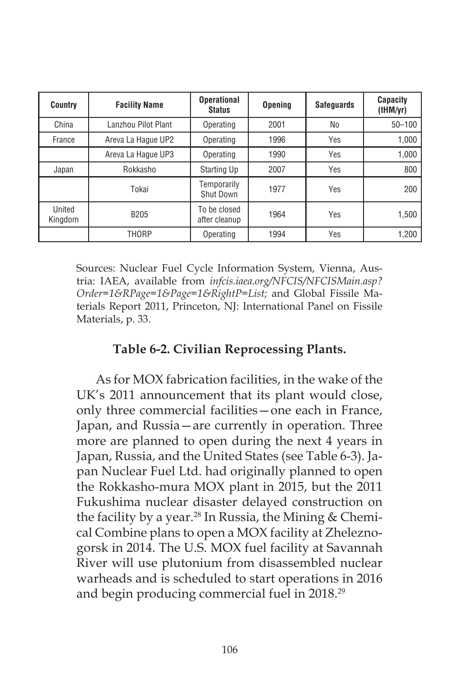| <b>Country</b>    | <b>Facility Name</b> | <b>Operational</b><br><b>Status</b> | <b>Opening</b> | <b>Safeguards</b> | <b>Capacity</b><br>(tHM/yr) |
|-------------------|----------------------|-------------------------------------|----------------|-------------------|-----------------------------|
| China             | Lanzhou Pilot Plant  | Operating                           | 2001           | N <sub>0</sub>    | $50 - 100$                  |
| France            | Areva La Haque UP2   | Operating                           | 1996           | Yes               | 1,000                       |
|                   | Areva La Haque UP3   | Operating                           | 1990           | Yes               | 1,000                       |
| Japan             | Rokkasho             | Starting Up                         | 2007           | Yes               | 800                         |
|                   | Tokai                | Temporarily<br>Shut Down            | 1977           | Yes               | 200                         |
| United<br>Kingdom | B <sub>205</sub>     | To be closed<br>after cleanup       | 1964           | Yes               | 1,500                       |
|                   | THORP                | Operating                           | 1994           | Yes               | 1.200                       |

Sources: Nuclear Fuel Cycle Information System, Vienna, Austria: IAEA, available from *infcis.iaea.org/NFCIS/NFCISMain.asp? Order=1&RPage=1&Page=1&RightP=List;* and Global Fissile Materials Report 2011, Princeton, NJ: International Panel on Fissile Materials, p. 33.

## **Table 6-2. Civilian Reprocessing Plants.**

As for MOX fabrication facilities, in the wake of the UK's 2011 announcement that its plant would close, only three commercial facilities—one each in France, Japan, and Russia—are currently in operation. Three more are planned to open during the next 4 years in Japan, Russia, and the United States (see Table 6-3). Japan Nuclear Fuel Ltd. had originally planned to open the Rokkasho-mura MOX plant in 2015, but the 2011 Fukushima nuclear disaster delayed construction on the facility by a year.<sup>28</sup> In Russia, the Mining  $&$  Chemical Combine plans to open a MOX facility at Zheleznogorsk in 2014. The U.S. MOX fuel facility at Savannah River will use plutonium from disassembled nuclear warheads and is scheduled to start operations in 2016 and begin producing commercial fuel in 2018.29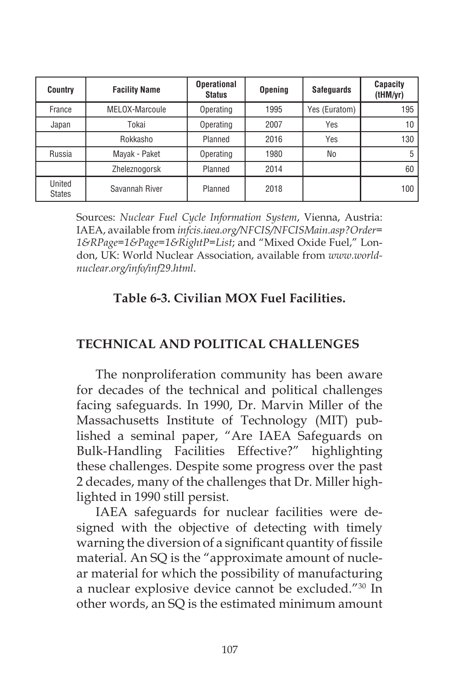| <b>Country</b>          | <b>Facility Name</b> | <b>Operational</b><br><b>Status</b> | <b>Opening</b> | <b>Safequards</b> | <b>Capacity</b><br>(tHM/yr) |
|-------------------------|----------------------|-------------------------------------|----------------|-------------------|-----------------------------|
| France                  | MELOX-Marcoule       | Operating                           | 1995           | Yes (Euratom)     | 195                         |
| Japan                   | Tokai                | Operating                           | 2007           | Yes               | 10                          |
|                         | Rokkasho             | Planned                             | 2016           | Yes               | 130                         |
| Russia                  | Mayak - Paket        | Operating                           | 1980           | No                | 5                           |
|                         | Zheleznogorsk        | Planned                             | 2014           |                   | 60                          |
| United<br><b>States</b> | Savannah River       | Planned                             | 2018           |                   | 100                         |

Sources: *Nuclear Fuel Cycle Information System*, Vienna, Austria: IAEA, available from *infcis.iaea.org/NFCIS/NFCISMain.asp?Order= 1&RPage=1&Page=1&RightP=List*; and "Mixed Oxide Fuel," London, UK: World Nuclear Association, available from *www.worldnuclear.org/info/inf29.html*.

## **Table 6-3. Civilian MOX Fuel Facilities.**

## **TECHNICAL AND POLITICAL CHALLENGES**

The nonproliferation community has been aware for decades of the technical and political challenges facing safeguards. In 1990, Dr. Marvin Miller of the Massachusetts Institute of Technology (MIT) published a seminal paper, "Are IAEA Safeguards on Bulk-Handling Facilities Effective?" highlighting these challenges. Despite some progress over the past 2 decades, many of the challenges that Dr. Miller highlighted in 1990 still persist.

IAEA safeguards for nuclear facilities were designed with the objective of detecting with timely warning the diversion of a significant quantity of fissile material. An SQ is the "approximate amount of nuclear material for which the possibility of manufacturing a nuclear explosive device cannot be excluded."30 In other words, an SQ is the estimated minimum amount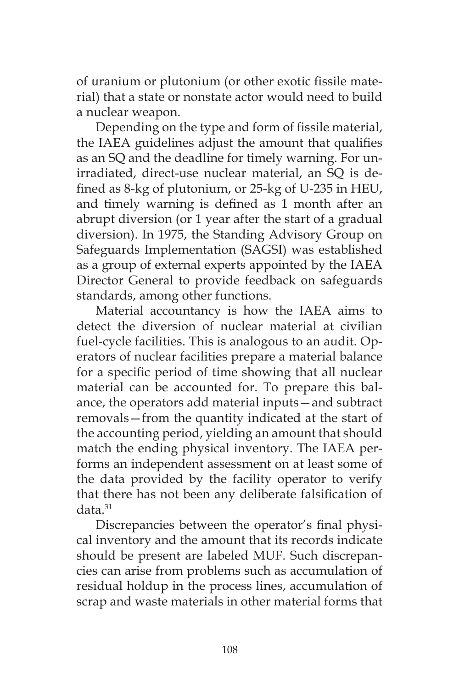of uranium or plutonium (or other exotic fissile material) that a state or nonstate actor would need to build a nuclear weapon.

Depending on the type and form of fissile material, the IAEA guidelines adjust the amount that qualifies as an SQ and the deadline for timely warning. For unirradiated, direct-use nuclear material, an SQ is defined as 8-kg of plutonium, or 25-kg of U-235 in HEU, and timely warning is defined as 1 month after an abrupt diversion (or 1 year after the start of a gradual diversion). In 1975, the Standing Advisory Group on Safeguards Implementation (SAGSI) was established as a group of external experts appointed by the IAEA Director General to provide feedback on safeguards standards, among other functions.

Material accountancy is how the IAEA aims to detect the diversion of nuclear material at civilian fuel-cycle facilities. This is analogous to an audit. Operators of nuclear facilities prepare a material balance for a specific period of time showing that all nuclear material can be accounted for. To prepare this balance, the operators add material inputs—and subtract removals—from the quantity indicated at the start of the accounting period, yielding an amount that should match the ending physical inventory. The IAEA performs an independent assessment on at least some of the data provided by the facility operator to verify that there has not been any deliberate falsification of data.31

Discrepancies between the operator's final physical inventory and the amount that its records indicate should be present are labeled MUF. Such discrepancies can arise from problems such as accumulation of residual holdup in the process lines, accumulation of scrap and waste materials in other material forms that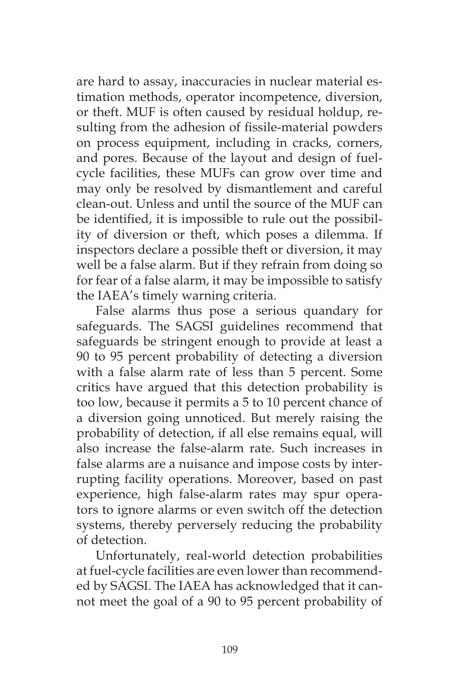are hard to assay, inaccuracies in nuclear material estimation methods, operator incompetence, diversion, or theft. MUF is often caused by residual holdup, resulting from the adhesion of fissile-material powders on process equipment, including in cracks, corners, and pores. Because of the layout and design of fuelcycle facilities, these MUFs can grow over time and may only be resolved by dismantlement and careful clean-out. Unless and until the source of the MUF can be identified, it is impossible to rule out the possibility of diversion or theft, which poses a dilemma. If inspectors declare a possible theft or diversion, it may well be a false alarm. But if they refrain from doing so for fear of a false alarm, it may be impossible to satisfy the IAEA's timely warning criteria.

False alarms thus pose a serious quandary for safeguards. The SAGSI guidelines recommend that safeguards be stringent enough to provide at least a 90 to 95 percent probability of detecting a diversion with a false alarm rate of less than 5 percent. Some critics have argued that this detection probability is too low, because it permits a 5 to 10 percent chance of a diversion going unnoticed. But merely raising the probability of detection, if all else remains equal, will also increase the false-alarm rate. Such increases in false alarms are a nuisance and impose costs by interrupting facility operations. Moreover, based on past experience, high false-alarm rates may spur operators to ignore alarms or even switch off the detection systems, thereby perversely reducing the probability of detection.

Unfortunately, real-world detection probabilities at fuel-cycle facilities are even lower than recommended by SAGSI. The IAEA has acknowledged that it cannot meet the goal of a 90 to 95 percent probability of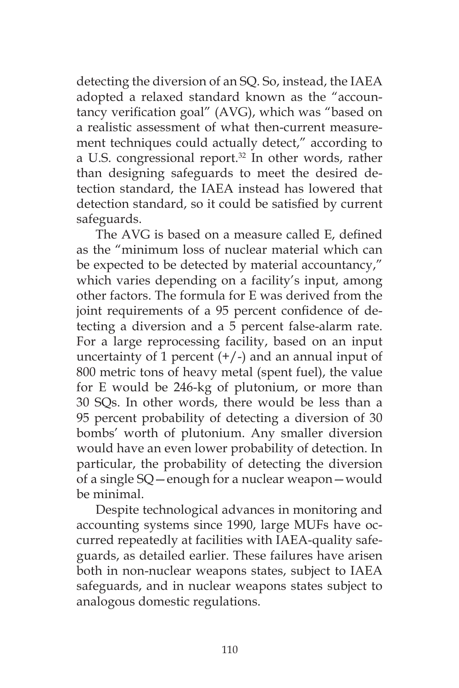detecting the diversion of an SQ. So, instead, the IAEA adopted a relaxed standard known as the "accountancy verification goal" (AVG), which was "based on a realistic assessment of what then-current measurement techniques could actually detect," according to a U.S. congressional report.<sup>32</sup> In other words, rather than designing safeguards to meet the desired detection standard, the IAEA instead has lowered that detection standard, so it could be satisfied by current safeguards.

The AVG is based on a measure called E, defined as the "minimum loss of nuclear material which can be expected to be detected by material accountancy," which varies depending on a facility's input, among other factors. The formula for E was derived from the joint requirements of a 95 percent confidence of detecting a diversion and a 5 percent false-alarm rate. For a large reprocessing facility, based on an input uncertainty of 1 percent  $(+/-)$  and an annual input of 800 metric tons of heavy metal (spent fuel), the value for E would be 246-kg of plutonium, or more than 30 SQs. In other words, there would be less than a 95 percent probability of detecting a diversion of 30 bombs' worth of plutonium. Any smaller diversion would have an even lower probability of detection. In particular, the probability of detecting the diversion of a single SQ—enough for a nuclear weapon—would be minimal.

Despite technological advances in monitoring and accounting systems since 1990, large MUFs have occurred repeatedly at facilities with IAEA-quality safeguards, as detailed earlier. These failures have arisen both in non-nuclear weapons states, subject to IAEA safeguards, and in nuclear weapons states subject to analogous domestic regulations.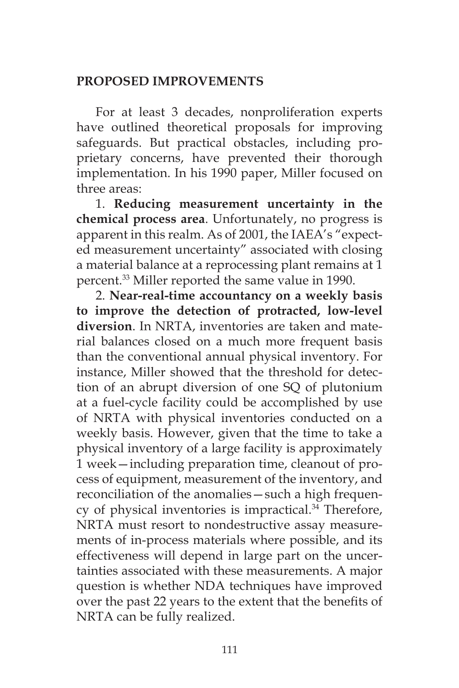## **PROPOSED IMPROVEMENTS**

For at least 3 decades, nonproliferation experts have outlined theoretical proposals for improving safeguards. But practical obstacles, including proprietary concerns, have prevented their thorough implementation. In his 1990 paper, Miller focused on three areas:

1. **Reducing measurement uncertainty in the chemical process area**. Unfortunately, no progress is apparent in this realm. As of 2001, the IAEA's "expected measurement uncertainty" associated with closing a material balance at a reprocessing plant remains at 1 percent.33 Miller reported the same value in 1990.

2. **Near-real-time accountancy on a weekly basis to improve the detection of protracted, low-level diversion**. In NRTA, inventories are taken and material balances closed on a much more frequent basis than the conventional annual physical inventory. For instance, Miller showed that the threshold for detection of an abrupt diversion of one SQ of plutonium at a fuel-cycle facility could be accomplished by use of NRTA with physical inventories conducted on a weekly basis. However, given that the time to take a physical inventory of a large facility is approximately 1 week—including preparation time, cleanout of process of equipment, measurement of the inventory, and reconciliation of the anomalies—such a high frequency of physical inventories is impractical.<sup>34</sup> Therefore, NRTA must resort to nondestructive assay measurements of in-process materials where possible, and its effectiveness will depend in large part on the uncertainties associated with these measurements. A major question is whether NDA techniques have improved over the past 22 years to the extent that the benefits of NRTA can be fully realized.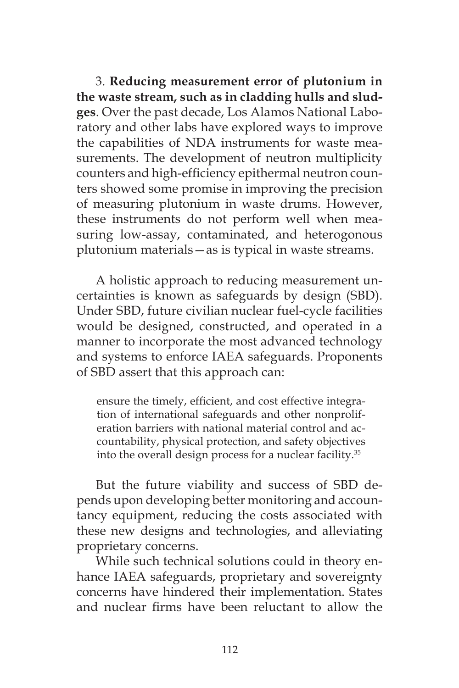3. **Reducing measurement error of plutonium in the waste stream, such as in cladding hulls and sludges**. Over the past decade, Los Alamos National Laboratory and other labs have explored ways to improve the capabilities of NDA instruments for waste measurements. The development of neutron multiplicity counters and high-efficiency epithermal neutron counters showed some promise in improving the precision of measuring plutonium in waste drums. However, these instruments do not perform well when measuring low-assay, contaminated, and heterogonous plutonium materials—as is typical in waste streams.

A holistic approach to reducing measurement uncertainties is known as safeguards by design (SBD). Under SBD, future civilian nuclear fuel-cycle facilities would be designed, constructed, and operated in a manner to incorporate the most advanced technology and systems to enforce IAEA safeguards. Proponents of SBD assert that this approach can:

ensure the timely, efficient, and cost effective integration of international safeguards and other nonproliferation barriers with national material control and accountability, physical protection, and safety objectives into the overall design process for a nuclear facility.35

But the future viability and success of SBD depends upon developing better monitoring and accountancy equipment, reducing the costs associated with these new designs and technologies, and alleviating proprietary concerns.

While such technical solutions could in theory enhance IAEA safeguards, proprietary and sovereignty concerns have hindered their implementation. States and nuclear firms have been reluctant to allow the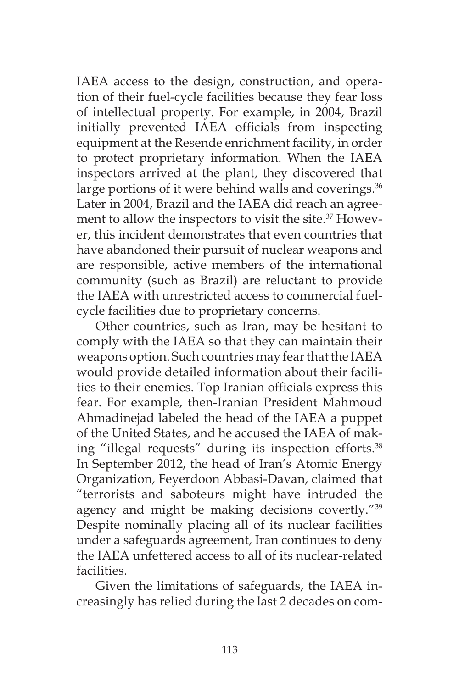IAEA access to the design, construction, and operation of their fuel-cycle facilities because they fear loss of intellectual property. For example, in 2004, Brazil initially prevented IAEA officials from inspecting equipment at the Resende enrichment facility, in order to protect proprietary information. When the IAEA inspectors arrived at the plant, they discovered that large portions of it were behind walls and coverings.<sup>36</sup> Later in 2004, Brazil and the IAEA did reach an agreement to allow the inspectors to visit the site.<sup>37</sup> However, this incident demonstrates that even countries that have abandoned their pursuit of nuclear weapons and are responsible, active members of the international community (such as Brazil) are reluctant to provide the IAEA with unrestricted access to commercial fuelcycle facilities due to proprietary concerns.

Other countries, such as Iran, may be hesitant to comply with the IAEA so that they can maintain their weapons option. Such countries may fear that the IAEA would provide detailed information about their facilities to their enemies. Top Iranian officials express this fear. For example, then-Iranian President Mahmoud Ahmadinejad labeled the head of the IAEA a puppet of the United States, and he accused the IAEA of making "illegal requests" during its inspection efforts.<sup>38</sup> In September 2012, the head of Iran's Atomic Energy Organization, Feyerdoon Abbasi-Davan, claimed that "terrorists and saboteurs might have intruded the agency and might be making decisions covertly."<sup>39</sup> Despite nominally placing all of its nuclear facilities under a safeguards agreement, Iran continues to deny the IAEA unfettered access to all of its nuclear-related facilities.

Given the limitations of safeguards, the IAEA increasingly has relied during the last 2 decades on com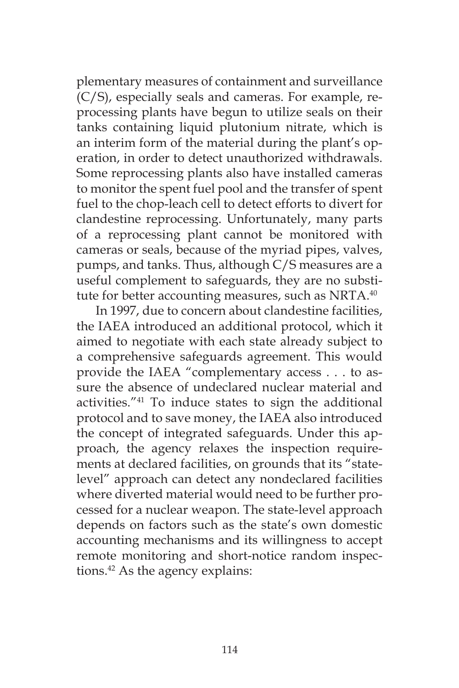plementary measures of containment and surveillance (C/S), especially seals and cameras. For example, reprocessing plants have begun to utilize seals on their tanks containing liquid plutonium nitrate, which is an interim form of the material during the plant's operation, in order to detect unauthorized withdrawals. Some reprocessing plants also have installed cameras to monitor the spent fuel pool and the transfer of spent fuel to the chop-leach cell to detect efforts to divert for clandestine reprocessing. Unfortunately, many parts of a reprocessing plant cannot be monitored with cameras or seals, because of the myriad pipes, valves, pumps, and tanks. Thus, although C/S measures are a useful complement to safeguards, they are no substitute for better accounting measures, such as NRTA.<sup>40</sup>

In 1997, due to concern about clandestine facilities, the IAEA introduced an additional protocol, which it aimed to negotiate with each state already subject to a comprehensive safeguards agreement. This would provide the IAEA "complementary access . . . to assure the absence of undeclared nuclear material and activities."41 To induce states to sign the additional protocol and to save money, the IAEA also introduced the concept of integrated safeguards. Under this approach, the agency relaxes the inspection requirements at declared facilities, on grounds that its "statelevel" approach can detect any nondeclared facilities where diverted material would need to be further processed for a nuclear weapon. The state-level approach depends on factors such as the state's own domestic accounting mechanisms and its willingness to accept remote monitoring and short-notice random inspections.42 As the agency explains: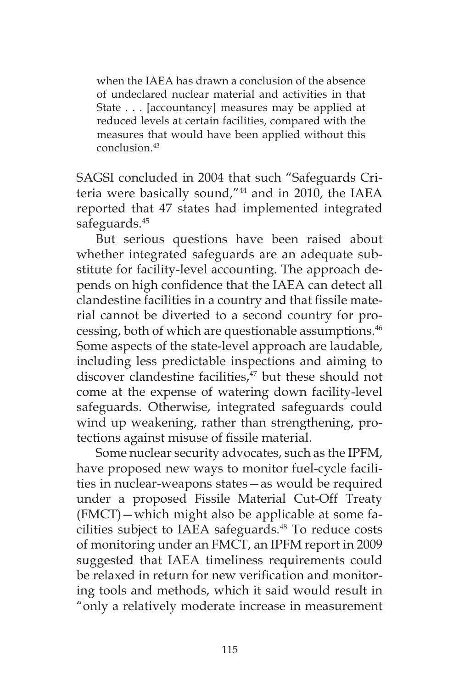when the IAEA has drawn a conclusion of the absence of undeclared nuclear material and activities in that State . . . [accountancy] measures may be applied at reduced levels at certain facilities, compared with the measures that would have been applied without this conclusion.43

SAGSI concluded in 2004 that such "Safeguards Criteria were basically sound,"44 and in 2010, the IAEA reported that 47 states had implemented integrated safeguards.<sup>45</sup>

But serious questions have been raised about whether integrated safeguards are an adequate substitute for facility-level accounting. The approach depends on high confidence that the IAEA can detect all clandestine facilities in a country and that fissile material cannot be diverted to a second country for processing, both of which are questionable assumptions.46 Some aspects of the state-level approach are laudable, including less predictable inspections and aiming to discover clandestine facilities,<sup>47</sup> but these should not come at the expense of watering down facility-level safeguards. Otherwise, integrated safeguards could wind up weakening, rather than strengthening, protections against misuse of fissile material.

Some nuclear security advocates, such as the IPFM, have proposed new ways to monitor fuel-cycle facilities in nuclear-weapons states—as would be required under a proposed Fissile Material Cut-Off Treaty (FMCT)—which might also be applicable at some facilities subject to IAEA safeguards.<sup>48</sup> To reduce costs of monitoring under an FMCT, an IPFM report in 2009 suggested that IAEA timeliness requirements could be relaxed in return for new verification and monitoring tools and methods, which it said would result in "only a relatively moderate increase in measurement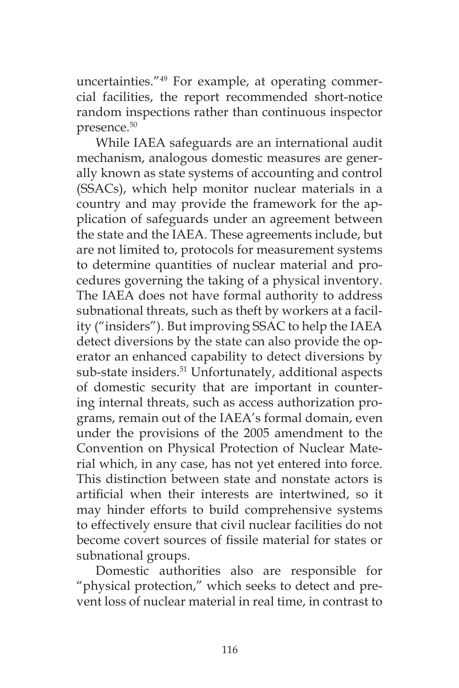uncertainties."49 For example, at operating commercial facilities, the report recommended short-notice random inspections rather than continuous inspector presence.50

While IAEA safeguards are an international audit mechanism, analogous domestic measures are generally known as state systems of accounting and control (SSACs), which help monitor nuclear materials in a country and may provide the framework for the application of safeguards under an agreement between the state and the IAEA. These agreements include, but are not limited to, protocols for measurement systems to determine quantities of nuclear material and procedures governing the taking of a physical inventory. The IAEA does not have formal authority to address subnational threats, such as theft by workers at a facility ("insiders"). But improving SSAC to help the IAEA detect diversions by the state can also provide the operator an enhanced capability to detect diversions by sub-state insiders.<sup>51</sup> Unfortunately, additional aspects of domestic security that are important in countering internal threats, such as access authorization programs, remain out of the IAEA's formal domain, even under the provisions of the 2005 amendment to the Convention on Physical Protection of Nuclear Material which, in any case, has not yet entered into force. This distinction between state and nonstate actors is artificial when their interests are intertwined, so it may hinder efforts to build comprehensive systems to effectively ensure that civil nuclear facilities do not become covert sources of fissile material for states or subnational groups.

Domestic authorities also are responsible for "physical protection," which seeks to detect and prevent loss of nuclear material in real time, in contrast to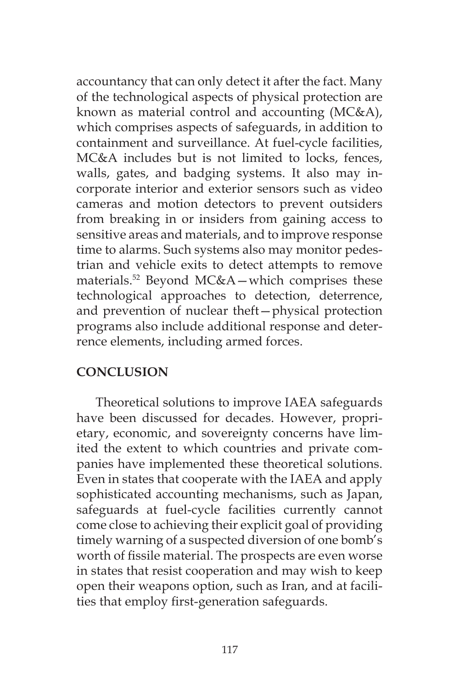accountancy that can only detect it after the fact. Many of the technological aspects of physical protection are known as material control and accounting (MC&A), which comprises aspects of safeguards, in addition to containment and surveillance. At fuel-cycle facilities, MC&A includes but is not limited to locks, fences, walls, gates, and badging systems. It also may incorporate interior and exterior sensors such as video cameras and motion detectors to prevent outsiders from breaking in or insiders from gaining access to sensitive areas and materials, and to improve response time to alarms. Such systems also may monitor pedestrian and vehicle exits to detect attempts to remove materials.52 Beyond MC&A—which comprises these technological approaches to detection, deterrence, and prevention of nuclear theft—physical protection programs also include additional response and deterrence elements, including armed forces.

## **CONCLUSION**

Theoretical solutions to improve IAEA safeguards have been discussed for decades. However, proprietary, economic, and sovereignty concerns have limited the extent to which countries and private companies have implemented these theoretical solutions. Even in states that cooperate with the IAEA and apply sophisticated accounting mechanisms, such as Japan, safeguards at fuel-cycle facilities currently cannot come close to achieving their explicit goal of providing timely warning of a suspected diversion of one bomb's worth of fissile material. The prospects are even worse in states that resist cooperation and may wish to keep open their weapons option, such as Iran, and at facilities that employ first-generation safeguards.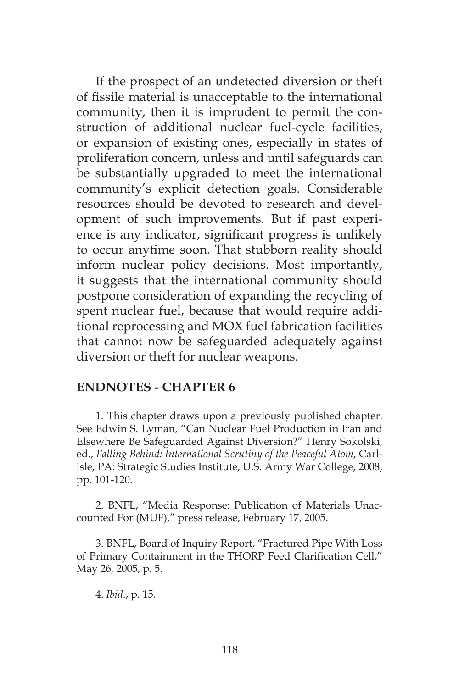If the prospect of an undetected diversion or theft of fissile material is unacceptable to the international community, then it is imprudent to permit the construction of additional nuclear fuel-cycle facilities, or expansion of existing ones, especially in states of proliferation concern, unless and until safeguards can be substantially upgraded to meet the international community's explicit detection goals. Considerable resources should be devoted to research and development of such improvements. But if past experience is any indicator, significant progress is unlikely to occur anytime soon. That stubborn reality should inform nuclear policy decisions. Most importantly, it suggests that the international community should postpone consideration of expanding the recycling of spent nuclear fuel, because that would require additional reprocessing and MOX fuel fabrication facilities that cannot now be safeguarded adequately against diversion or theft for nuclear weapons.

#### **ENDNOTES - CHAPTER 6**

1. This chapter draws upon a previously published chapter. See Edwin S. Lyman, "Can Nuclear Fuel Production in Iran and Elsewhere Be Safeguarded Against Diversion?" Henry Sokolski, ed., *Falling Behind: International Scrutiny of the Peaceful Atom*, Carlisle, PA: Strategic Studies Institute, U.S. Army War College, 2008, pp. 101-120.

2. BNFL, "Media Response: Publication of Materials Unaccounted For (MUF)," press release, February 17, 2005.

3. BNFL, Board of Inquiry Report, "Fractured Pipe With Loss of Primary Containment in the THORP Feed Clarification Cell," May 26, 2005, p. 5.

4. *Ibid*., p. 15.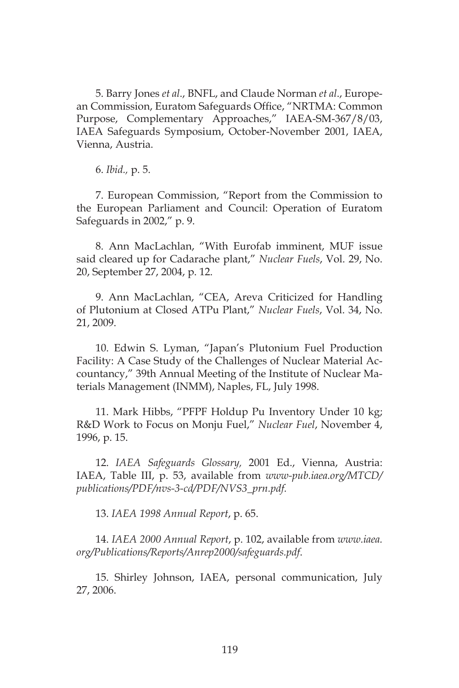5. Barry Jones *et al*., BNFL, and Claude Norman *et al*., European Commission, Euratom Safeguards Office, "NRTMA: Common Purpose, Complementary Approaches," IAEA-SM-367/8/03, IAEA Safeguards Symposium, October-November 2001, IAEA, Vienna, Austria.

6. *Ibid.,* p. 5.

7. European Commission, "Report from the Commission to the European Parliament and Council: Operation of Euratom Safeguards in 2002," p. 9.

8. Ann MacLachlan, "With Eurofab imminent, MUF issue said cleared up for Cadarache plant," *Nuclear Fuels*, Vol. 29, No. 20, September 27, 2004, p. 12.

9. Ann MacLachlan, "CEA, Areva Criticized for Handling of Plutonium at Closed ATPu Plant," *Nuclear Fuels*, Vol. 34, No. 21, 2009.

10. Edwin S. Lyman, "Japan's Plutonium Fuel Production Facility: A Case Study of the Challenges of Nuclear Material Accountancy," 39th Annual Meeting of the Institute of Nuclear Materials Management (INMM), Naples, FL, July 1998.

11. Mark Hibbs, "PFPF Holdup Pu Inventory Under 10 kg; R&D Work to Focus on Monju Fuel," *Nuclear Fuel*, November 4, 1996, p. 15.

12. *IAEA Safeguards Glossary,* 2001 Ed., Vienna, Austria: IAEA, Table III, p. 53, available from *www-pub.iaea.org/MTCD/ publications/PDF/nvs-3-cd/PDF/NVS3\_prn.pdf.*

13. *IAEA 1998 Annual Report*, p. 65.

14. *IAEA 2000 Annual Report*, p. 102, available from *www.iaea. org/Publications/Reports/Anrep2000/safeguards.pdf*.

15. Shirley Johnson, IAEA, personal communication, July 27, 2006.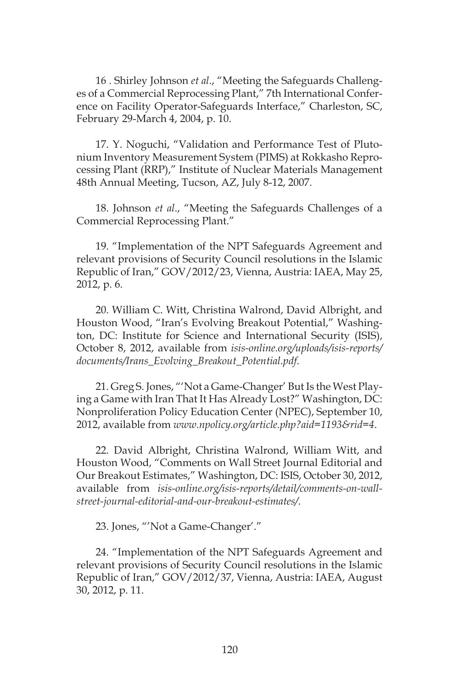16 . Shirley Johnson *et al*., "Meeting the Safeguards Challenges of a Commercial Reprocessing Plant," 7th International Conference on Facility Operator-Safeguards Interface," Charleston, SC, February 29-March 4, 2004, p. 10.

17. Y. Noguchi, "Validation and Performance Test of Plutonium Inventory Measurement System (PIMS) at Rokkasho Reprocessing Plant (RRP)," Institute of Nuclear Materials Management 48th Annual Meeting, Tucson, AZ, July 8-12, 2007.

18. Johnson *et al*., "Meeting the Safeguards Challenges of a Commercial Reprocessing Plant."

19. "Implementation of the NPT Safeguards Agreement and relevant provisions of Security Council resolutions in the Islamic Republic of Iran," GOV/2012/23, Vienna, Austria: IAEA, May 25, 2012, p. 6.

20. William C. Witt, Christina Walrond, David Albright, and Houston Wood, "Iran's Evolving Breakout Potential," Washington, DC: Institute for Science and International Security (ISIS), October 8, 2012, available from *isis-online.org/uploads/isis-reports/ documents/Irans\_Evolving\_Breakout\_Potential.pdf*.

21. Greg S. Jones, "'Not a Game-Changer' But Is the West Playing a Game with Iran That It Has Already Lost?" Washington, DC: Nonproliferation Policy Education Center (NPEC), September 10, 2012, available from *www.npolicy.org/article.php?aid=1193&rid=4*.

22. David Albright, Christina Walrond, William Witt, and Houston Wood, "Comments on Wall Street Journal Editorial and Our Breakout Estimates," Washington, DC: ISIS, October 30, 2012, available from *isis-online.org/isis-reports/detail/comments-on-wallstreet-journal-editorial-and-our-breakout-estimates/*.

23. Jones, "'Not a Game-Changer'."

24. "Implementation of the NPT Safeguards Agreement and relevant provisions of Security Council resolutions in the Islamic Republic of Iran," GOV/2012/37, Vienna, Austria: IAEA, August 30, 2012, p. 11.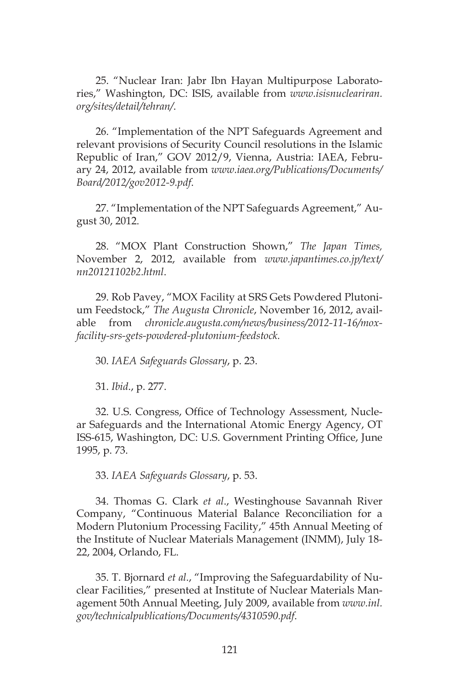25. "Nuclear Iran: Jabr Ibn Hayan Multipurpose Laboratories," Washington, DC: ISIS, available from *www.isisnucleariran. org/sites/detail/tehran/*.

26. "Implementation of the NPT Safeguards Agreement and relevant provisions of Security Council resolutions in the Islamic Republic of Iran," GOV 2012/9, Vienna, Austria: IAEA, February 24, 2012, available from *www.iaea.org/Publications/Documents/ Board/2012/gov2012-9.pdf*.

27. "Implementation of the NPT Safeguards Agreement," August 30, 2012.

28. "MOX Plant Construction Shown," *The Japan Times,*  November 2, 2012, available from *www.japantimes.co.jp/text/ nn20121102b2.html*.

29. Rob Pavey, "MOX Facility at SRS Gets Powdered Plutonium Feedstock," *The Augusta Chronicle*, November 16, 2012, available from *chronicle.augusta.com/news/business/2012-11-16/moxfacility-srs-gets-powdered-plutonium-feedstock.*

30. *IAEA Safeguards Glossary*, p. 23.

31. *Ibid*., p. 277.

32. U.S. Congress, Office of Technology Assessment, Nuclear Safeguards and the International Atomic Energy Agency, OT ISS-615, Washington, DC: U.S. Government Printing Office, June 1995, p. 73.

33. *IAEA Safeguards Glossary*, p. 53.

34. Thomas G. Clark *et al*., Westinghouse Savannah River Company, "Continuous Material Balance Reconciliation for a Modern Plutonium Processing Facility," 45th Annual Meeting of the Institute of Nuclear Materials Management (INMM), July 18- 22, 2004, Orlando, FL.

35. T. Bjornard *et al*., "Improving the Safeguardability of Nuclear Facilities," presented at Institute of Nuclear Materials Management 50th Annual Meeting, July 2009, available from *www.inl. gov/technicalpublications/Documents/4310590.pdf*.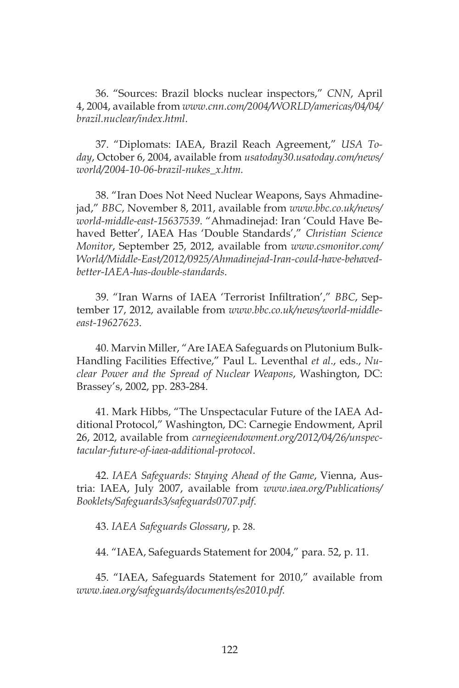36. "Sources: Brazil blocks nuclear inspectors," *CNN*, April 4, 2004, available from *www.cnn.com/2004/WORLD/americas/04/04/ brazil.nuclear/index.html*.

37. "Diplomats: IAEA, Brazil Reach Agreement," *USA Today*, October 6, 2004, available from *usatoday30.usatoday.com/news/ world/2004-10-06-brazil-nukes\_x.htm.*

38. "Iran Does Not Need Nuclear Weapons, Says Ahmadinejad," *BBC*, November 8, 2011, available from *www.bbc.co.uk/news/ world-middle-east-15637539*. "Ahmadinejad: Iran 'Could Have Behaved Better', IAEA Has 'Double Standards'," *Christian Science Monitor*, September 25, 2012, available from *www.csmonitor.com/ World/Middle-East/2012/0925/Ahmadinejad-Iran-could-have-behavedbetter-IAEA-has-double-standards*.

39. "Iran Warns of IAEA 'Terrorist Infiltration'," *BBC*, September 17, 2012, available from *www.bbc.co.uk/news/world-middleeast-19627623*.

40. Marvin Miller, "Are IAEA Safeguards on Plutonium Bulk-Handling Facilities Effective," Paul L. Leventhal *et al*., eds., *Nuclear Power and the Spread of Nuclear Weapons*, Washington, DC: Brassey's, 2002, pp. 283-284.

41. Mark Hibbs, "The Unspectacular Future of the IAEA Additional Protocol," Washington, DC: Carnegie Endowment, April 26, 2012, available from *carnegieendowment.org/2012/04/26/unspectacular-future-of-iaea-additional-protocol*.

42. *IAEA Safeguards: Staying Ahead of the Game*, Vienna, Austria: IAEA, July 2007, available from *www.iaea.org/Publications/ Booklets/Safeguards3/safeguards0707.pdf*.

43. *IAEA Safeguards Glossary*, p. 28.

44. "IAEA, Safeguards Statement for 2004," para. 52, p. 11.

45. "IAEA, Safeguards Statement for 2010," available from *www.iaea.org/safeguards/documents/es2010.pdf.*